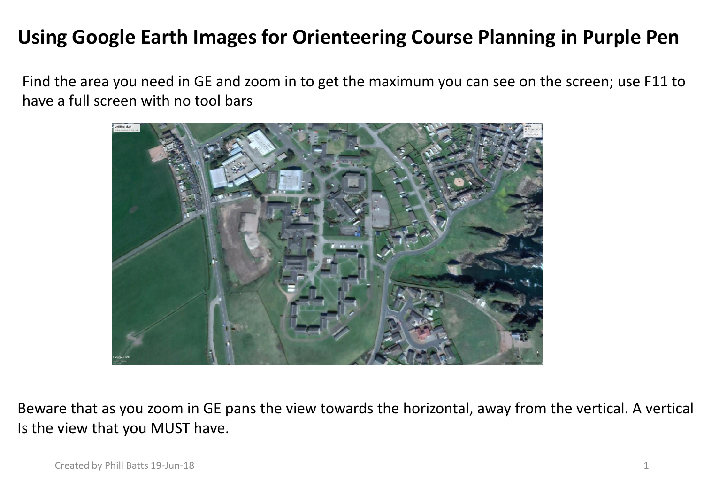## **Using Google Earth Images for Orienteering Course Planning in Purple Pen**

Find the area you need in GE and zoom in to get the maximum you can see on the screen; use F11 to have a full screen with no tool bars



Beware that as you zoom in GE pans the view towards the horizontal, away from the vertical. A vertical Is the view that you MUST have.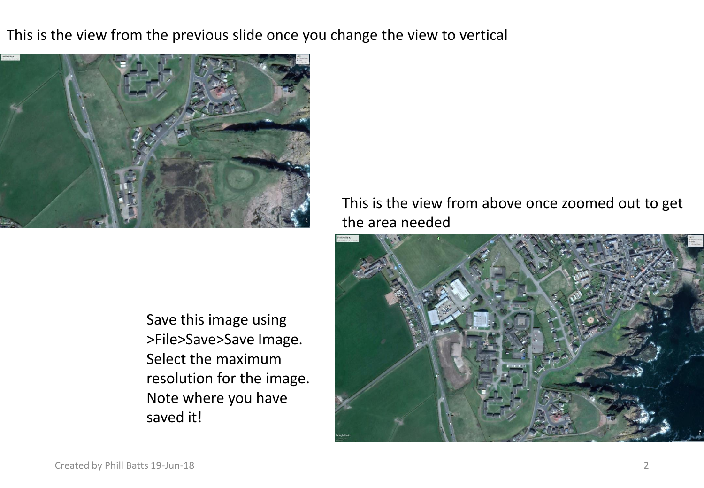This is the view from the previous slide once you change the view to vertical



Save this image using >File>Save>Save Image. Select the maximum resolution for the image. Note where you have saved it!

This is the view from above once zoomed out to get the area needed

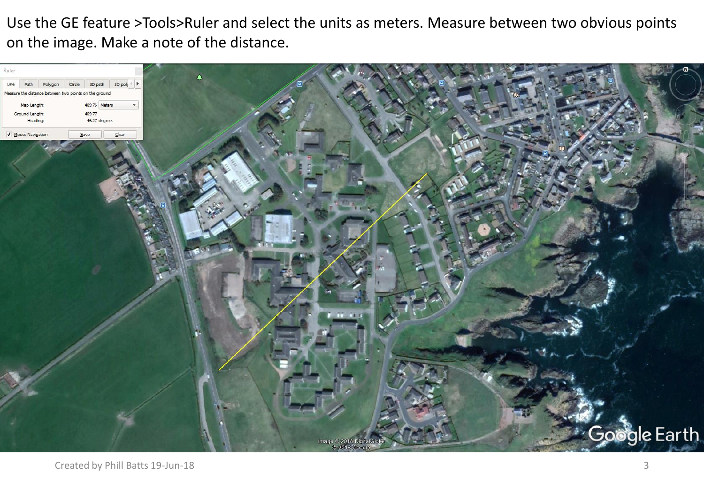Use the GE feature >Tools>Ruler and select the units as meters. Measure between two obvious points on the image. Make a note of the distance.

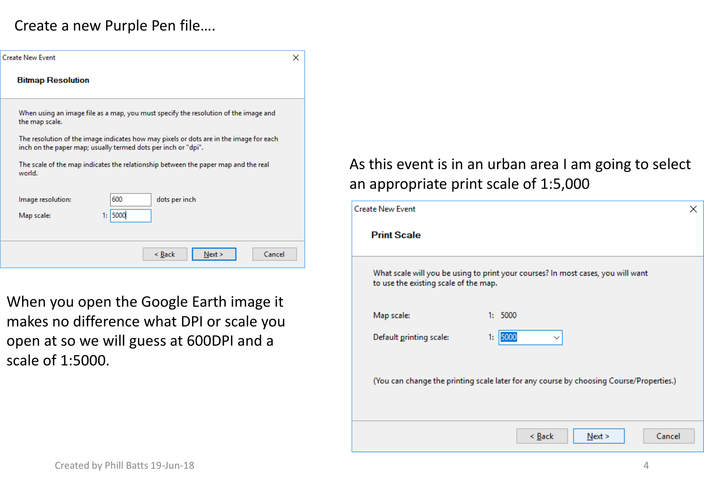## Create a new Purple Pen file….

| Create New Event<br>×<br><b>Bitmap Resolution</b><br>When using an image file as a map, you must specify the resolution of the image and<br>the map scale.<br>The resolution of the image indicates how may pixels or dots are in the image for each<br>inch on the paper map; usually termed dots per inch or "dpi".<br>The scale of the map indicates the relationship between the paper map and the real<br>world.<br>600<br>Image resolution:<br>dots per inch<br>1: 5000<br>Map scale:<br>Cancel<br>< Back<br>Next > |  |  |  |  |  |
|---------------------------------------------------------------------------------------------------------------------------------------------------------------------------------------------------------------------------------------------------------------------------------------------------------------------------------------------------------------------------------------------------------------------------------------------------------------------------------------------------------------------------|--|--|--|--|--|
|                                                                                                                                                                                                                                                                                                                                                                                                                                                                                                                           |  |  |  |  |  |
|                                                                                                                                                                                                                                                                                                                                                                                                                                                                                                                           |  |  |  |  |  |
|                                                                                                                                                                                                                                                                                                                                                                                                                                                                                                                           |  |  |  |  |  |
|                                                                                                                                                                                                                                                                                                                                                                                                                                                                                                                           |  |  |  |  |  |
|                                                                                                                                                                                                                                                                                                                                                                                                                                                                                                                           |  |  |  |  |  |
|                                                                                                                                                                                                                                                                                                                                                                                                                                                                                                                           |  |  |  |  |  |
|                                                                                                                                                                                                                                                                                                                                                                                                                                                                                                                           |  |  |  |  |  |
|                                                                                                                                                                                                                                                                                                                                                                                                                                                                                                                           |  |  |  |  |  |

When you open the Google Earth image it makes no difference what DPI or scale you open at so we will guess at 600DPI and a scale of 1:5000.

## As this event is in an urban area I am going to select an appropriate print scale of 1:5,000

| <b>Create New Event</b>                                                                                                   |                            | × |  |  |  |
|---------------------------------------------------------------------------------------------------------------------------|----------------------------|---|--|--|--|
| <b>Print Scale</b>                                                                                                        |                            |   |  |  |  |
| What scale will you be using to print your courses? In most cases, you will want<br>to use the existing scale of the map. |                            |   |  |  |  |
| Map scale:                                                                                                                | 1:5000                     |   |  |  |  |
| Default printing scale:                                                                                                   | 1: 5000<br>$\checkmark$    |   |  |  |  |
| (You can change the printing scale later for any course by choosing Course/Properties.)                                   |                            |   |  |  |  |
|                                                                                                                           | Cancel<br>$<$ Back<br>Next |   |  |  |  |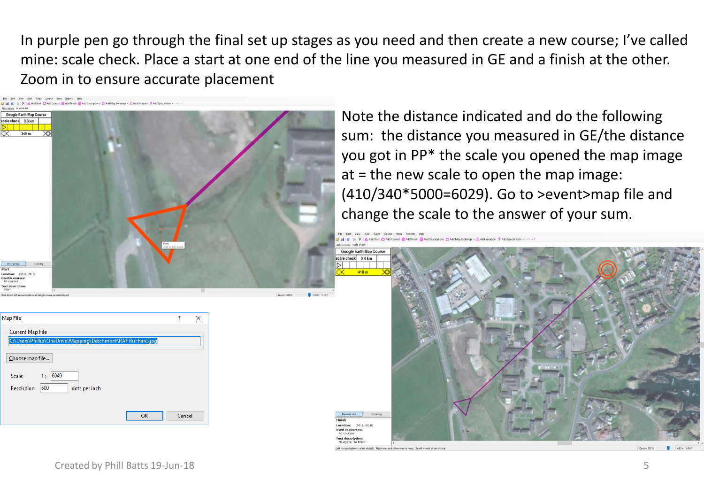In purple pen go through the final set up stages as you need and then create a new course; I've called mine: scale check. Place a start at one end of the line you measured in GE and a finish at the other. Zoom in to ensure accurate placement

> **Google Earth Map Course** ale check 0.4 km

Location: (99.1.66.) sed in courser

V | A Add Days C Add Control Co Add Eighty De Add Descriptions # Add Max Eur

| Yew Add Event Course Item Reports Help<br>File<br>Edit                                                                                           |                               |                             |
|--------------------------------------------------------------------------------------------------------------------------------------------------|-------------------------------|-----------------------------|
| X Add Start O Add Control @ Add Finish M Add Descriptions C Add Map Exchange + 3, Add Variation ? Add Special Item +   < - -<br>o a<br><b>IC</b> |                               |                             |
| All controls scale check                                                                                                                         |                               |                             |
| Google Earth Map Course                                                                                                                          |                               |                             |
| scale check 0.3 km                                                                                                                               |                               |                             |
| ▷                                                                                                                                                |                               |                             |
|                                                                                                                                                  |                               |                             |
| $\overline{\alpha}$<br>$\infty$<br>340 m                                                                                                         |                               |                             |
|                                                                                                                                                  |                               |                             |
|                                                                                                                                                  |                               |                             |
|                                                                                                                                                  |                               |                             |
|                                                                                                                                                  |                               |                             |
|                                                                                                                                                  |                               |                             |
|                                                                                                                                                  |                               |                             |
|                                                                                                                                                  |                               |                             |
|                                                                                                                                                  |                               |                             |
|                                                                                                                                                  |                               |                             |
|                                                                                                                                                  |                               |                             |
|                                                                                                                                                  |                               |                             |
|                                                                                                                                                  |                               |                             |
|                                                                                                                                                  |                               |                             |
|                                                                                                                                                  |                               |                             |
|                                                                                                                                                  |                               |                             |
|                                                                                                                                                  |                               |                             |
|                                                                                                                                                  |                               |                             |
|                                                                                                                                                  |                               |                             |
|                                                                                                                                                  |                               |                             |
|                                                                                                                                                  | Start<br>Used in: All courses |                             |
|                                                                                                                                                  |                               |                             |
|                                                                                                                                                  |                               |                             |
| Descriptions<br>Ordering                                                                                                                         |                               |                             |
| Start                                                                                                                                            |                               |                             |
| Location: (50.0, 20.5)                                                                                                                           |                               |                             |
| Used in courses:<br>All courses                                                                                                                  |                               |                             |
| <b>Text description:</b>                                                                                                                         |                               |                             |
| Start:                                                                                                                                           |                               |                             |
| Hold down left mouse button and drag to move selected object                                                                                     |                               | x50.1 v:19.7<br>Zoom: 1256% |
|                                                                                                                                                  |                               |                             |
|                                                                                                                                                  |                               |                             |

Note the distance indicated and do the following sum: the distance you measured in GE/the distance you got in PP\* the scale you opened the map image at = the new scale to open the map image: (410/340\*5000=6029). Go to >event>map file and change the scale to the answer of your sum.

| Map File                                                                               | ?      | X |
|----------------------------------------------------------------------------------------|--------|---|
| <b>Current Map File</b><br>C:\Users\Phillip\OneDrive\Mapping\Detchmont\RAF Buchan3.jpg |        |   |
| Choose map file                                                                        |        |   |
| 6049<br>Scale:<br>1:<br>600<br><b>Resolution:</b><br>dots per inch                     |        |   |
| OK                                                                                     | Cancel |   |
|                                                                                        |        |   |